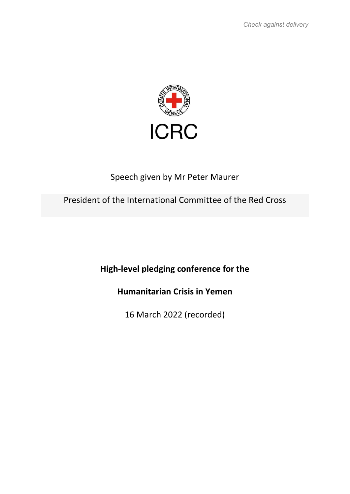

## Speech given by Mr Peter Maurer

## President of the International Committee of the Red Cross

High-level pledging conference for the

Humanitarian Crisis in Yemen

16 March 2022 (recorded)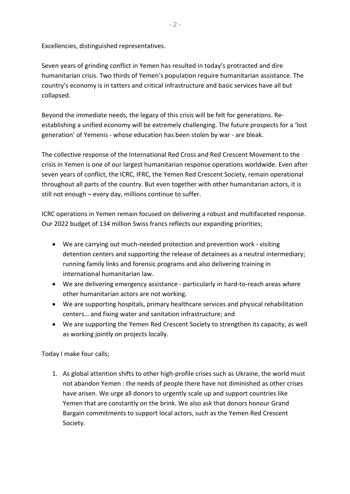Excellencies, distinguished representatives.

Seven years of grinding conflict in Yemen has resulted in today's protracted and dire humanitarian crisis. Two thirds of Yemen's population require humanitarian assistance. The country's economy is in tatters and critical infrastructure and basic services have all but collapsed.

Beyond the immediate needs, the legacy of this crisis will be felt for generations. Reestablishing a unified economy will be extremely challenging. The future prospects for a 'lost generation' of Yemenis - whose education has been stolen by war - are bleak.

The collective response of the International Red Cross and Red Crescent Movement to the crisis in Yemen is one of our largest humanitarian response operations worldwide. Even after seven years of conflict, the ICRC, IFRC, the Yemen Red Crescent Society, remain operational throughout all parts of the country. But even together with other humanitarian actors, it is still not enough – every day, millions continue to suffer.

ICRC operations in Yemen remain focused on delivering a robust and multifaceted response. Our 2022 budget of 134 million Swiss francs reflects our expanding priorities;

- We are carrying out much-needed protection and prevention work visiting detention centers and supporting the release of detainees as a neutral intermediary; running family links and forensic programs and also delivering training in international humanitarian law.
- We are delivering emergency assistance particularly in hard-to-reach areas where other humanitarian actors are not working.
- We are supporting hospitals, primary healthcare services and physical rehabilitation centers… and fixing water and sanitation infrastructure; and
- We are supporting the Yemen Red Crescent Society to strengthen its capacity, as well as working jointly on projects locally.

Today I make four calls;

1. As global attention shifts to other high-profile crises such as Ukraine, the world must not abandon Yemen : the needs of people there have not diminished as other crises have arisen. We urge all donors to urgently scale up and support countries like Yemen that are constantly on the brink. We also ask that donors honour Grand Bargain commitments to support local actors, such as the Yemen Red Crescent Society.